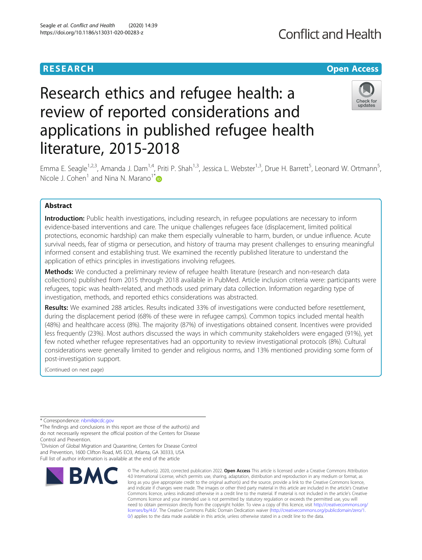# **RESEARCH CHE Open Access**

# Research ethics and refugee health: a review of reported considerations and applications in published refugee health literature, 2015-2018



Emma E. Seagle<sup>1,2,3</sup>, Amanda J. Dam<sup>1,4</sup>, Priti P. Shah<sup>1,3</sup>, Jessica L. Webster<sup>1,3</sup>, Drue H. Barrett<sup>5</sup>, Leonard W. Ortmann<sup>5</sup> , Nicole J. Cohen<sup>1</sup> and Nina N. Marano<sup>1\*</sup> $\bullet$ 

# Abstract

Introduction: Public health investigations, including research, in refugee populations are necessary to inform evidence-based interventions and care. The unique challenges refugees face (displacement, limited political protections, economic hardship) can make them especially vulnerable to harm, burden, or undue influence. Acute survival needs, fear of stigma or persecution, and history of trauma may present challenges to ensuring meaningful informed consent and establishing trust. We examined the recently published literature to understand the application of ethics principles in investigations involving refugees.

Methods: We conducted a preliminary review of refugee health literature (research and non-research data collections) published from 2015 through 2018 available in PubMed. Article inclusion criteria were: participants were refugees, topic was health-related, and methods used primary data collection. Information regarding type of investigation, methods, and reported ethics considerations was abstracted.

Results: We examined 288 articles. Results indicated 33% of investigations were conducted before resettlement, during the displacement period (68% of these were in refugee camps). Common topics included mental health (48%) and healthcare access (8%). The majority (87%) of investigations obtained consent. Incentives were provided less frequently (23%). Most authors discussed the ways in which community stakeholders were engaged (91%), yet few noted whether refugee representatives had an opportunity to review investigational protocols (8%). Cultural considerations were generally limited to gender and religious norms, and 13% mentioned providing some form of post-investigation support.

(Continued on next page)

\* Correspondence: [nbm8@cdc.gov](mailto:nbm8@cdc.gov)

\*The findings and conclusions in this report are those of the author(s) and do not necessarily represent the official position of the Centers for Disease Control and Prevention.

<sup>1</sup> Division of Global Migration and Quarantine, Centers for Disease Control and Prevention, 1600 Clifton Road, MS EO3, Atlanta, GA 30333, USA Full list of author information is available at the end of the article



© The Author(s). 2020, corrected publication 2022. Open Access This article is licensed under a Creative Commons Attribution 4.0 International License, which permits use, sharing, adaptation, distribution and reproduction in any medium or format, as long as you give appropriate credit to the original author(s) and the source, provide a link to the Creative Commons licence, and indicate if changes were made. The images or other third party material in this article are included in the article's Creative Commons licence, unless indicated otherwise in a credit line to the material. If material is not included in the article's Creative Commons licence and your intended use is not permitted by statutory regulation or exceeds the permitted use, you will need to obtain permission directly from the copyright holder. To view a copy of this licence, visit [http://creativecommons.org/](http://creativecommons.org/licenses/by/4.0/) [licenses/by/4.0/.](http://creativecommons.org/licenses/by/4.0/) The Creative Commons Public Domain Dedication waiver ([http://creativecommons.org/publicdomain/zero/1.](http://creativecommons.org/publicdomain/zero/1.0/) [0/\)](http://creativecommons.org/publicdomain/zero/1.0/) applies to the data made available in this article, unless otherwise stated in a credit line to the data.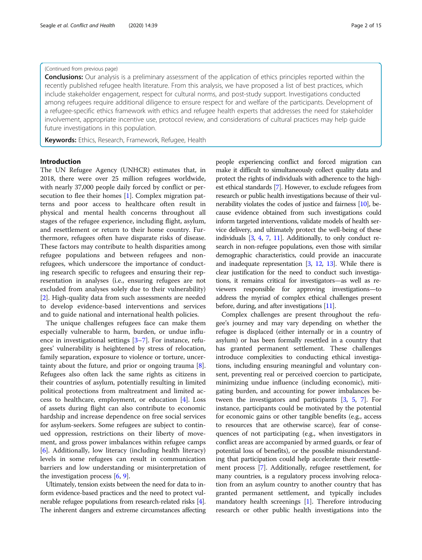#### (Continued from previous page)

**Conclusions:** Our analysis is a preliminary assessment of the application of ethics principles reported within the recently published refugee health literature. From this analysis, we have proposed a list of best practices, which include stakeholder engagement, respect for cultural norms, and post-study support. Investigations conducted among refugees require additional diligence to ensure respect for and welfare of the participants. Development of a refugee-specific ethics framework with ethics and refugee health experts that addresses the need for stakeholder involvement, appropriate incentive use, protocol review, and considerations of cultural practices may help guide future investigations in this population.

Keywords: Ethics, Research, Framework, Refugee, Health

#### Introduction

The UN Refugee Agency (UNHCR) estimates that, in 2018, there were over 25 million refugees worldwide, with nearly 37,000 people daily forced by conflict or persecution to flee their homes [[1\]](#page-13-0). Complex migration patterns and poor access to healthcare often result in physical and mental health concerns throughout all stages of the refugee experience, including flight, asylum, and resettlement or return to their home country. Furthermore, refugees often have disparate risks of disease. These factors may contribute to health disparities among refugee populations and between refugees and nonrefugees, which underscore the importance of conducting research specific to refugees and ensuring their representation in analyses (i.e., ensuring refugees are not excluded from analyses solely due to their vulnerability) [[2\]](#page-13-0). High-quality data from such assessments are needed to develop evidence-based interventions and services and to guide national and international health policies.

The unique challenges refugees face can make them especially vulnerable to harm, burden, or undue influence in investigational settings [[3](#page-13-0)–[7\]](#page-13-0). For instance, refugees' vulnerability is heightened by stress of relocation, family separation, exposure to violence or torture, uncertainty about the future, and prior or ongoing trauma [\[8](#page-13-0)]. Refugees also often lack the same rights as citizens in their countries of asylum, potentially resulting in limited political protections from maltreatment and limited access to healthcare, employment, or education [[4\]](#page-13-0). Loss of assets during flight can also contribute to economic hardship and increase dependence on free social services for asylum-seekers. Some refugees are subject to continued oppression, restrictions on their liberty of movement, and gross power imbalances within refugee camps [[6\]](#page-13-0). Additionally, low literacy (including health literacy) levels in some refugees can result in communication barriers and low understanding or misinterpretation of the investigation process  $[6, 9]$  $[6, 9]$  $[6, 9]$  $[6, 9]$ .

Ultimately, tension exists between the need for data to inform evidence-based practices and the need to protect vulnerable refugee populations from research-related risks [[4](#page-13-0)]. The inherent dangers and extreme circumstances affecting people experiencing conflict and forced migration can make it difficult to simultaneously collect quality data and protect the rights of individuals with adherence to the highest ethical standards [\[7](#page-13-0)]. However, to exclude refugees from research or public health investigations because of their vulnerability violates the codes of justice and fairness [\[10\]](#page-13-0), because evidence obtained from such investigations could inform targeted interventions, validate models of health service delivery, and ultimately protect the well-being of these individuals [[3,](#page-13-0) [4](#page-13-0), [7](#page-13-0), [11\]](#page-13-0). Additionally, to only conduct research in non-refugee populations, even those with similar demographic characteristics, could provide an inaccurate and inadequate representation [\[3,](#page-13-0) [12,](#page-13-0) [13](#page-13-0)]. While there is clear justification for the need to conduct such investigations, it remains critical for investigators—as well as reviewers responsible for approving investigations—to address the myriad of complex ethical challenges present before, during, and after investigations [\[11](#page-13-0)].

Complex challenges are present throughout the refugee's journey and may vary depending on whether the refugee is displaced (either internally or in a country of asylum) or has been formally resettled in a country that has granted permanent settlement. These challenges introduce complexities to conducting ethical investigations, including ensuring meaningful and voluntary consent, preventing real or perceived coercion to participate, minimizing undue influence (including economic), mitigating burden, and accounting for power imbalances between the investigators and participants [\[3,](#page-13-0) [5,](#page-13-0) [7](#page-13-0)]. For instance, participants could be motivated by the potential for economic gains or other tangible benefits (e.g., access to resources that are otherwise scarce), fear of consequences of not participating (e.g., when investigators in conflict areas are accompanied by armed guards, or fear of potential loss of benefits), or the possible misunderstanding that participation could help accelerate their resettlement process [\[7](#page-13-0)]. Additionally, refugee resettlement, for many countries, is a regulatory process involving relocation from an asylum country to another country that has granted permanent settlement, and typically includes mandatory health screenings [\[1](#page-13-0)]. Therefore introducing research or other public health investigations into the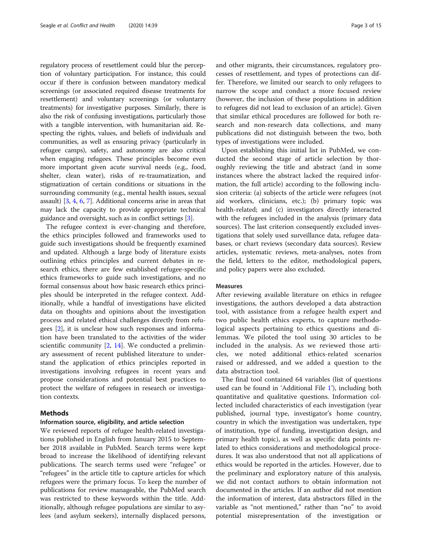regulatory process of resettlement could blur the perception of voluntary participation. For instance, this could occur if there is confusion between mandatory medical screenings (or associated required disease treatments for resettlement) and voluntary screenings (or voluntarry treatments) for investigative purposes. Similarly, there is also the risk of confusing investigations, particularly those with a tangible intervention, with humanitarian aid. Respecting the rights, values, and beliefs of individuals and communities, as well as ensuring privacy (particularly in refugee camps), safety, and autonomy are also critical when engaging refugees. These principles become even more important given acute survival needs (e.g., food, shelter, clean water), risks of re-traumatization, and stigmatization of certain conditions or situations in the surrounding community (e.g., mental health issues, sexual assault) [[3](#page-13-0), [4](#page-13-0), [6](#page-13-0), [7](#page-13-0)]. Additional concerns arise in areas that may lack the capacity to provide appropriate technical guidance and oversight, such as in conflict settings [\[3\]](#page-13-0).

The refugee context is ever-changing and therefore, the ethics principles followed and frameworks used to guide such investigations should be frequently examined and updated. Although a large body of literature exists outlining ethics principles and current debates in research ethics, there are few established refugee-specific ethics frameworks to guide such investigations, and no formal consensus about how basic research ethics principles should be interpreted in the refugee context. Additionally, while a handful of investigations have elicited data on thoughts and opinions about the investigation process and related ethical challenges directly from refugees [[2\]](#page-13-0), it is unclear how such responses and information have been translated to the activities of the wider scientific community [\[2](#page-13-0), [14\]](#page-13-0). We conducted a preliminary assessment of recent published literature to understand the application of ethics principles reported in investigations involving refugees in recent years and propose considerations and potential best practices to protect the welfare of refugees in research or investigation contexts.

# Methods

#### Information source, eligibility, and article selection

We reviewed reports of refugee health-related investigations published in English from January 2015 to September 2018 available in PubMed. Search terms were kept broad to increase the likelihood of identifying relevant publications. The search terms used were "refugee" or "refugees" in the article title to capture articles for which refugees were the primary focus. To keep the number of publications for review manageable, the PubMed search was restricted to these keywords within the title. Additionally, although refugee populations are similar to asylees (and asylum seekers), internally displaced persons,

and other migrants, their circumstances, regulatory processes of resettlement, and types of protections can differ. Therefore, we limited our search to only refugees to narrow the scope and conduct a more focused review (however, the inclusion of these populations in addition to refugees did not lead to exclusion of an article). Given that similar ethical procedures are followed for both research and non-research data collections, and many publications did not distinguish between the two, both types of investigations were included.

Upon establishing this initial list in PubMed, we conducted the second stage of article selection by thoroughly reviewing the title and abstract (and in some instances where the abstract lacked the required information, the full article) according to the following inclusion criteria: (a) subjects of the article were refugees (not aid workers, clinicians, etc.); (b) primary topic was health-related; and (c) investigators directly interacted with the refugees included in the analysis (primary data sources). The last criterion consequently excluded investigations that solely used surveillance data, refugee databases, or chart reviews (secondary data sources). Review articles, systematic reviews, meta-analyses, notes from the field, letters to the editor, methodological papers, and policy papers were also excluded.

#### Measures

After reviewing available literature on ethics in refugee investigations, the authors developed a data abstraction tool, with assistance from a refugee health expert and two public health ethics experts, to capture methodological aspects pertaining to ethics questions and dilemmas. We piloted the tool using 30 articles to be included in the analysis. As we reviewed those articles, we noted additional ethics-related scenarios raised or addressed, and we added a question to the data abstraction tool.

The final tool contained 64 variables (list of questions used can be found in 'Additional File [1](#page-13-0)'), including both quantitative and qualitative questions. Information collected included characteristics of each investigation (year published, journal type, investigator's home country, country in which the investigation was undertaken, type of institution, type of funding, investigation design, and primary health topic), as well as specific data points related to ethics considerations and methodological procedures. It was also understood that not all applications of ethics would be reported in the articles. However, due to the preliminary and exploratory nature of this analysis, we did not contact authors to obtain information not documented in the articles. If an author did not mention the information of interest, data abstractors filled in the variable as "not mentioned," rather than "no" to avoid potential misrepresentation of the investigation or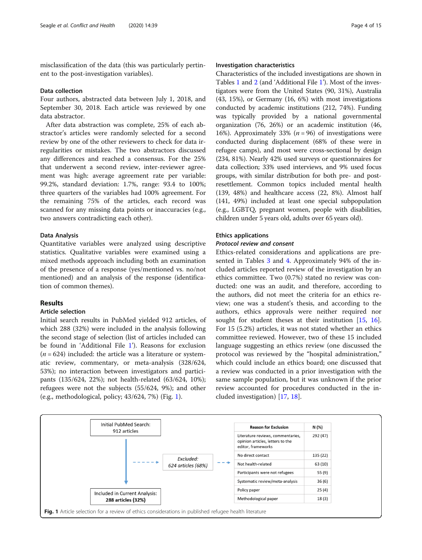misclassification of the data (this was particularly pertinent to the post-investigation variables).

#### Data collection

Four authors, abstracted data between July 1, 2018, and September 30, 2018. Each article was reviewed by one data abstractor.

After data abstraction was complete, 25% of each abstractor's articles were randomly selected for a second review by one of the other reviewers to check for data irregularities or mistakes. The two abstractors discussed any differences and reached a consensus. For the 25% that underwent a second review, inter-reviewer agreement was high: average agreement rate per variable: 99.2%, standard deviation: 1.7%, range: 93.4 to 100%; three quarters of the variables had 100% agreement. For the remaining 75% of the articles, each record was scanned for any missing data points or inaccuracies (e.g., two answers contradicting each other).

#### Data Analysis

Quantitative variables were analyzed using descriptive statistics. Qualitative variables were examined using a mixed methods approach including both an examination of the presence of a response (yes/mentioned vs. no/not mentioned) and an analysis of the response (identification of common themes).

### Results

#### Article selection

Initial search results in PubMed yielded 912 articles, of which 288 (32%) were included in the analysis following the second stage of selection (list of articles included can be found in 'Additional File [1](#page-13-0)'). Reasons for exclusion  $(n = 624)$  included: the article was a literature or systematic review, commentary, or meta-analysis (328/624, 53%); no interaction between investigators and participants (135/624, 22%); not health-related (63/624, 10%); refugees were not the subjects (55/624, 9%); and other (e.g., methodological, policy; 43/624, 7%) (Fig. 1).

#### Investigation characteristics

Characteristics of the included investigations are shown in Tables [1](#page-4-0) and [2](#page-5-0) (and 'Additional File [1](#page-13-0)'). Most of the investigators were from the United States (90, 31%), Australia (43, 15%), or Germany (16, 6%) with most investigations conducted by academic institutions (212, 74%). Funding was typically provided by a national governmental organization (76, 26%) or an academic institution (46, 16%). Approximately 33% ( $n = 96$ ) of investigations were conducted during displacement (68% of these were in refugee camps), and most were cross-sectional by design (234, 81%). Nearly 42% used surveys or questionnaires for data collection; 33% used interviews, and 9% used focus groups, with similar distribution for both pre- and postresettlement. Common topics included mental health (139, 48%) and healthcare access (22, 8%). Almost half (141, 49%) included at least one special subpopulation (e.g., LGBTQ, pregnant women, people with disabilities, children under 5 years old, adults over 65 years old).

# Ethics applications

#### Protocol review and consent

Ethics-related considerations and applications are presented in Tables [3](#page-6-0) and [4.](#page-7-0) Approximately 94% of the included articles reported review of the investigation by an ethics committee. Two (0.7%) stated no review was conducted: one was an audit, and therefore, according to the authors, did not meet the criteria for an ethics review; one was a student's thesis, and according to the authors, ethics approvals were neither required nor sought for student theses at their institution [\[15](#page-13-0), [16](#page-13-0)]. For 15 (5.2%) articles, it was not stated whether an ethics committee reviewed. However, two of these 15 included language suggesting an ethics review (one discussed the protocol was reviewed by the "hospital administration," which could include an ethics board; one discussed that a review was conducted in a prior investigation with the same sample population, but it was unknown if the prior review accounted for procedures conducted in the included investigation) [[17,](#page-13-0) [18](#page-13-0)].

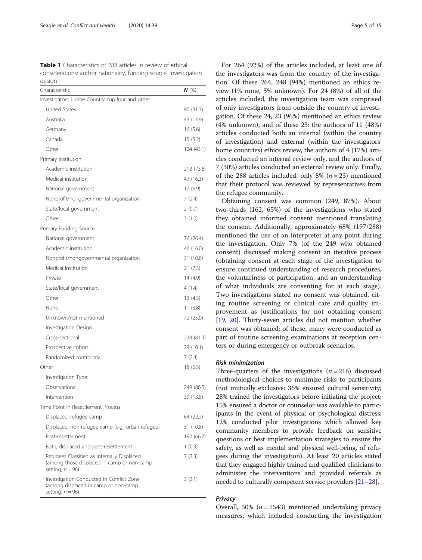<span id="page-4-0"></span>Table 1 Characteristics of 288 articles in review of ethical considerations: author nationality, funding source, investigation design

| Characteristic                                                                                                   | $N$ (%)    |
|------------------------------------------------------------------------------------------------------------------|------------|
| Investigator's Home Country, top four and other                                                                  |            |
| United States                                                                                                    | 90 (31.3)  |
| Australia                                                                                                        | 43 (14.9)  |
| Germany                                                                                                          | 16(5.6)    |
| Canada                                                                                                           | 15 (5.2)   |
| Other                                                                                                            | 124 (43.1) |
| Primary Institution                                                                                              |            |
| Academic institution                                                                                             | 212 (73.6) |
| Medical institution                                                                                              | 47 (16.3)  |
| National government                                                                                              | 17 (5.9)   |
| Nonprofit/nongovernmental organization                                                                           | 7(2.4)     |
| State/local government                                                                                           | 2(0.7)     |
| Other                                                                                                            | 3(1.0)     |
| Primary Funding Source                                                                                           |            |
| National government                                                                                              | 76 (26.4)  |
| Academic institution                                                                                             | 46 (16.0)  |
| Nonprofit/nongovernmental organization                                                                           | 31 (10.8)  |
| Medical institution                                                                                              | 21(7.3)    |
| Private                                                                                                          | 14 (4.9)   |
| State/local government                                                                                           | 4 (1.4)    |
| Other                                                                                                            | 13(4.5)    |
| None                                                                                                             | 11(3.8)    |
| Unknown/not mentioned                                                                                            | 72 (25.0)  |
| Investigation Design                                                                                             |            |
| Cross-sectional                                                                                                  | 234 (81.3) |
| Prospective cohort                                                                                               | 29 (10.1)  |
| Randomized control trial                                                                                         | 7(2.4)     |
| Other                                                                                                            | 18 (6.3)   |
| Investigation Type                                                                                               |            |
| Observational                                                                                                    | 249 (86.5) |
| Intervention                                                                                                     | 39 (13.5)  |
| Time Point in Resettlement Process                                                                               |            |
| Displaced, refugee camp                                                                                          | 64 (22.2)  |
| Displaced, non-refugee camp (e.g., urban refugee)                                                                | 31 (10.8)  |
| Post-resettlement                                                                                                | 192 (66.7) |
| Both, displaced and post-resettlement                                                                            | 1(0.3)     |
| Refugees Classified as Internally Displaced<br>(among those displaced in camp or non-camp<br>setting, $n = 96$ ) | 7(7.3)     |
| Investigation Conducted in Conflict Zone<br>(among displaced in camp or non-camp<br>setting, $n = 96$ )          | 3(3.1)     |

For 264 (92%) of the articles included, at least one of the investigators was from the country of the investigation. Of these 264, 248 (94%) mentioned an ethics review (1% none, 5% unknown). For 24 (8%) of all of the articles included, the investigation team was comprised of only investigators from outside the country of investigation. Of these 24, 23 (96%) mentioned an ethics review (4% unknown), and of these 23: the authors of 11 (48%) articles conducted both an internal (within the country of investigation) and external (within the investigators' home countries) ethics review, the authors of 4 (17%) articles conducted an internal review only, and the authors of 7 (30%) articles conducted an external review only. Finally, of the 288 articles included, only 8% ( $n = 23$ ) mentioned that their protocol was reviewed by representatives from the refugee community.

Obtaining consent was common (249, 87%). About two-thirds (162, 65%) of the investigations who stated they obtained informed consent mentioned translating the consent. Additionally, approximately 68% (197/288) mentioned the use of an interpreter at any point during the investigation. Only 7% (of the 249 who obtained consent) discussed making consent an iterative process (obtaining consent at each stage of the investigation to ensure continued understanding of research procedures, the voluntariness of participation, and an understanding of what individuals are consenting for at each stage). Two investigations stated no consent was obtained, citing routine screening or clinical care and quality improvement as justifications for not obtaining consent [[19,](#page-14-0) [20\]](#page-14-0). Thirty-seven articles did not mention whether consent was obtained; of these, many were conducted as part of routine screening examinations at reception centers or during emergency or outbreak scenarios.

#### Risk minimization

Three-quarters of the investigations  $(n = 216)$  discussed methodological choices to minimize risks to participants (not mutually exclusive: 36% ensured cultural sensitivity; 28% trained the investigators before initiating the project; 15% ensured a doctor or counselor was available to participants in the event of physical or psychological distress; 12% conducted pilot investigations which allowed key community members to provide feedback on sensitive questions or best implementation strategies to ensure the safety, as well as mental and physical well-being, of refugees during the investigation). At least 20 articles stated that they engaged highly trained and qualified clinicians to administer the interventions and provided referrals as needed to culturally competent service providers [[21](#page-14-0)–[28\]](#page-14-0).

# **Privacy**

Overall, 50% ( $n = 1543$ ) mentioned undertaking privacy measures, which included conducting the investigation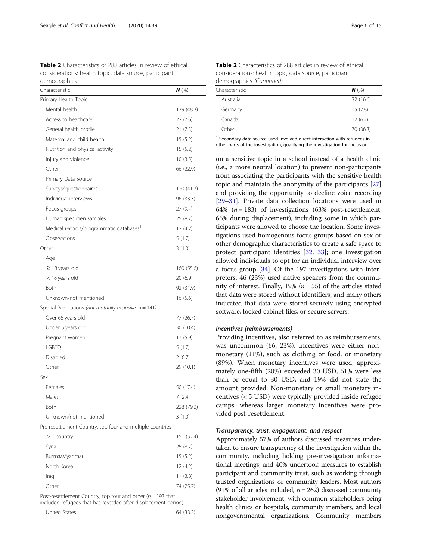<span id="page-5-0"></span>Table 2 Characteristics of 288 articles in review of ethical considerations: health topic, data source, participant demographics

| Characteristic                                            | $N$ (%)    |
|-----------------------------------------------------------|------------|
| Primary Health Topic                                      |            |
| Mental health                                             | 139 (48.3) |
| Access to healthcare                                      | 22 (7.6)   |
| General health profile                                    | 21 (7.3)   |
| Maternal and child health                                 | 15(5.2)    |
| Nutrition and physical activity                           | 15(5.2)    |
| Injury and violence                                       | 10(3.5)    |
| Other                                                     | 66 (22.9)  |
| Primary Data Source                                       |            |
| Surveys/questionnaires                                    | 120 (41.7) |
| Individual interviews                                     | 96 (33.3)  |
| Focus groups                                              | 27 (9.4)   |
| Human specimen samples                                    | 25 (8.7)   |
| Medical records/programmatic databases'                   | 12 (4.2)   |
| Observations                                              | 5(1.7)     |
| Other                                                     | 3(1.0)     |
| Age                                                       |            |
| $\geq$ 18 years old                                       | 160 (55.6) |
| < 18 years old                                            | 20 (6.9)   |
| <b>Both</b>                                               | 92 (31.9)  |
| Unknown/not mentioned                                     | 16(5.6)    |
| Special Populations (not mutually exclusive, $n = 141$ )  |            |
| Over 65 years old                                         | 77 (26.7)  |
| Under 5 years old                                         | 30 (10.4)  |
| Pregnant women                                            | 17(5.9)    |
| <b>LGBTQ</b>                                              | 5(1.7)     |
| Disabled                                                  | 2(0.7)     |
| Other                                                     | 29 (10.1)  |
| Sex                                                       |            |
| Females                                                   | 50 (17.4)  |
| Males                                                     | 7(2.4)     |
| Both                                                      | 228 (79.2) |
| Unknown/not mentioned                                     | 3(1.0)     |
| Pre-resettlement Country, top four and multiple countries |            |
| $>1$ country                                              | 151 (52.4) |

| $\sim$ $\sim$ $\sim$ $\sim$ $\sim$ $\sim$ $\sim$ | $\sim$ $\sim$ $\sim$ $\sim$ |
|--------------------------------------------------|-----------------------------|
| Syria                                            | 25(8.7)                     |
| Burma/Myanmar                                    | 15(5.2)                     |
| North Korea                                      | 12(4.2)                     |
| Iraq                                             | 11(3.8)                     |
| Other                                            | 74 (25.7)                   |

Post-resettlement Country, top four and other ( $n = 193$  that included refugees that has resettled after displacement period)

| United States | 64 (33.2) |
|---------------|-----------|
|               |           |

| <b>Table 2</b> Characteristics of 288 articles in review of ethical |
|---------------------------------------------------------------------|
| considerations: health topic, data source, participant              |
| demographics (Continued)                                            |

| Characteristic | $N$ (%)   |
|----------------|-----------|
| Australia      | 32 (16.6) |
| Germany        | 15(7.8)   |
| Canada         | 12(6.2)   |
| Other          | 70 (36.3) |
|                |           |

 $1$  Secondary data source used involved direct interaction with refugees in other parts of the investigation, qualifying the investigation for inclusion

on a sensitive topic in a school instead of a health clinic (i.e., a more neutral location) to prevent non-participants from associating the participants with the sensitive health topic and maintain the anonymity of the participants [[27](#page-14-0)] and providing the opportunity to decline voice recording [[29](#page-14-0)–[31\]](#page-14-0). Private data collection locations were used in 64%  $(n = 183)$  of investigations (63% post-resettlement, 66% during displacement), including some in which participants were allowed to choose the location. Some investigations used homogenous focus groups based on sex or other demographic characteristics to create a safe space to protect participant identities [\[32,](#page-14-0) [33\]](#page-14-0); one investigation allowed individuals to opt for an individual interview over a focus group [[34](#page-14-0)]. Of the 197 investigations with interpreters, 46 (23%) used native speakers from the community of interest. Finally, 19% ( $n = 55$ ) of the articles stated that data were stored without identifiers, and many others indicated that data were stored securely using encrypted software, locked cabinet files, or secure servers.

## Incentives (reimbursements)

Providing incentives, also referred to as reimbursements, was uncommon (66, 23%). Incentives were either nonmonetary (11%), such as clothing or food, or monetary (89%). When monetary incentives were used, approximately one-fifth (20%) exceeded 30 USD, 61% were less than or equal to 30 USD, and 19% did not state the amount provided. Non-monetary or small monetary incentives (< 5 USD) were typically provided inside refugee camps, whereas larger monetary incentives were provided post-resettlement.

#### Transparency, trust, engagement, and respect

Approximately 57% of authors discussed measures undertaken to ensure transparency of the investigation within the community, including holding pre-investigation informational meetings; and 40% undertook measures to establish participant and community trust, such as working through trusted organizations or community leaders. Most authors (91% of all articles included,  $n = 262$ ) discussed community stakeholder involvement, with common stakeholders being health clinics or hospitals, community members, and local nongovernmental organizations. Community members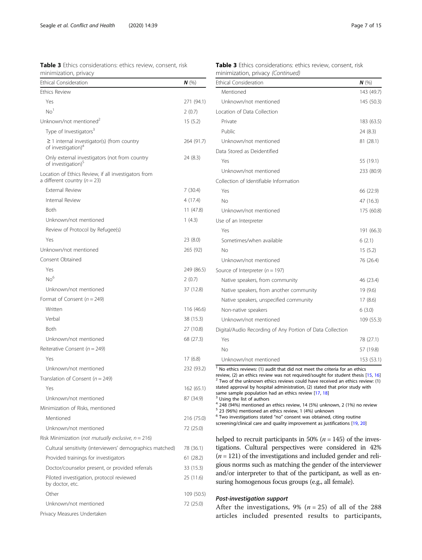<span id="page-6-0"></span>

|                       | Table 3 Ethics considerations: ethics review, consent, risk |  |  |
|-----------------------|-------------------------------------------------------------|--|--|
| minimization, privacy |                                                             |  |  |

| <b>Ethical Consideration</b>                                                             | $N$ (%)    |
|------------------------------------------------------------------------------------------|------------|
| <b>Ethics Review</b>                                                                     |            |
| Yes                                                                                      | 271 (94.1) |
| No <sup>1</sup>                                                                          | 2(0.7)     |
| Unknown/not mentioned <sup>2</sup>                                                       | 15(5.2)    |
| Type of Investigators <sup>3</sup>                                                       |            |
| $\geq$ 1 internal investigator(s) (from country<br>of investigation) <sup>4</sup>        | 264 (91.7) |
| Only external investigators (not from country<br>of investigation) <sup>5</sup>          | 24 (8.3)   |
| Location of Ethics Review, if all investigators from<br>a different country ( $n = 23$ ) |            |
| <b>External Review</b>                                                                   | 7 (30.4)   |
| Internal Review                                                                          | 4 (17.4)   |
| Both                                                                                     | 11(47.8)   |
| Unknown/not mentioned                                                                    | 1(4.3)     |
| Review of Protocol by Refugee(s)                                                         |            |
| Yes                                                                                      | 23 (8.0)   |
| Unknown/not mentioned                                                                    | 265 (92)   |
| Consent Obtained                                                                         |            |
| Yes                                                                                      | 249 (86.5) |
| No <sup>6</sup>                                                                          | 2(0.7)     |
| Unknown/not mentioned                                                                    | 37 (12.8)  |
| Format of Consent ( $n = 249$ )                                                          |            |
| Written                                                                                  | 116 (46.6) |
| Verbal                                                                                   | 38 (15.3)  |
| Both                                                                                     | 27 (10.8)  |
| Unknown/not mentioned                                                                    | 68 (27.3)  |
| Reiterative Consent ( $n = 249$ )                                                        |            |
| Yes                                                                                      | 17(6.8)    |
| Unknown/not mentioned                                                                    | 232 (93.2) |
| Translation of Consent ( $n = 249$ )                                                     |            |
| Yes                                                                                      | 162 (65.1) |
| Unknown/not mentioned                                                                    | 87 (34.9)  |
| Minimization of Risks, mentioned                                                         |            |
| Mentioned                                                                                | 216 (75.0) |
| Unknown/not mentioned                                                                    | 72 (25.0)  |
| Risk Minimization (not mutually exclusive, $n = 216$ )                                   |            |
| Cultural sensitivity (interviewers' demographics matched)                                | 78 (36.1)  |
| Provided trainings for investigators                                                     | 61 (28.2)  |
| Doctor/counselor present, or provided referrals                                          | 33 (15.3)  |
| Piloted investigation, protocol reviewed<br>by doctor, etc.                              | 25 (11.6)  |
| Other                                                                                    | 109 (50.5) |
| Unknown/not mentioned                                                                    | 72 (25.0)  |
| Privacy Measures Undertaken                                                              |            |

| <b>Table 3</b> Ethics considerations: ethics review, consent, risk |  |
|--------------------------------------------------------------------|--|
| minimization, privacy (Continued)                                  |  |

| <b>Ethical Consideration</b>                              | N(%)       |
|-----------------------------------------------------------|------------|
| Mentioned                                                 | 143 (49.7) |
| Unknown/not mentioned                                     | 145 (50.3) |
| Location of Data Collection                               |            |
| Private                                                   | 183 (63.5) |
| Public                                                    | 24 (8.3)   |
| Unknown/not mentioned                                     | 81 (28.1)  |
| Data Stored as Deidentified                               |            |
| Yes                                                       | 55 (19.1)  |
| Unknown/not mentioned                                     | 233 (80.9) |
| Collection of Identifiable Information                    |            |
| Yes                                                       | 66 (22.9)  |
| No                                                        | 47 (16.3)  |
| Unknown/not mentioned                                     | 175 (60.8) |
| Use of an Interpreter                                     |            |
| Yes                                                       | 191 (66.3) |
| Sometimes/when available                                  | 6(2.1)     |
| Nο                                                        | 15(5.2)    |
| Unknown/not mentioned                                     | 76 (26.4)  |
| Source of Interpreter ( $n = 197$ )                       |            |
| Native speakers, from community                           | 46 (23.4)  |
| Native speakers, from another community                   | 19 (9.6)   |
| Native speakers, unspecified community                    | 17(8.6)    |
| Non-native speakers                                       | 6(3.0)     |
| Unknown/not mentioned                                     | 109 (55.3) |
| Digital/Audio Recording of Any Portion of Data Collection |            |
| Yes                                                       | 78 (27.1)  |
| No                                                        | 57 (19.8)  |
| Unknown/not mentioned                                     | 153 (53.1) |

 $\frac{1}{1}$  No ethics reviews: (1) audit that did not meet the criteria for an ethics review, (2) an ethics review was not required/sought for student thesis [15, 16]  $2$  Two of the unknown ethics reviews could have received an ethics review: (1) stated approval by hospital administration, (2) stated that prior study with same sample population had an ethics review [[17](#page-13-0), [18\]](#page-13-0)  $^3$  Using the list of authors

 $4$  248 (94%) mentioned an ethics review, 14 (5%) unknown, 2 (1%) no review

 $5$  23 (96%) mentioned an ethics review, 1 (4%) unknown

 $6$  Two investigations stated "no" consent was obtained, citing routine

screening/clinical care and quality improvement as justifications [[19](#page-14-0), [20\]](#page-14-0)

helped to recruit participants in 50% ( $n = 145$ ) of the investigations. Cultural perspectives were considered in 42%  $(n = 121)$  of the investigations and included gender and religious norms such as matching the gender of the interviewer and/or interpreter to that of the participant, as well as ensuring homogenous focus groups (e.g., all female).

# Post-investigation support

After the investigations, 9% ( $n = 25$ ) of all of the 288 articles included presented results to participants,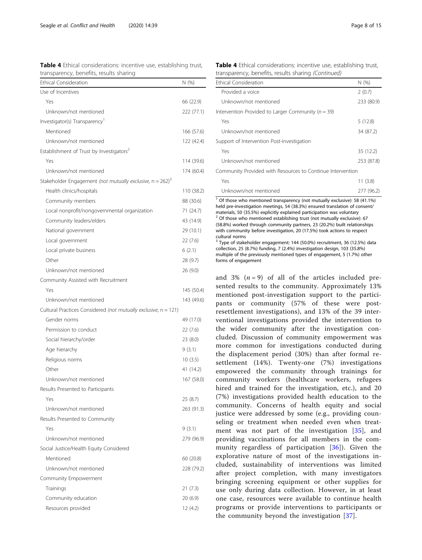| CONSIDERATIONS, INTELLITIVE USE,<br>transparency, benefits, results sharing |            |
|-----------------------------------------------------------------------------|------------|
| <b>Ethical Consideration</b>                                                | N(% )      |
| Use of Incentives                                                           |            |
| Yes                                                                         | 66 (22.9)  |
| Unknown/not mentioned                                                       | 222 (77.1) |
| Investigator(s) Transparency'                                               |            |
| Mentioned                                                                   | 166 (57.6) |
| Unknown/not mentioned                                                       | 122 (42.4) |
| Establishment of Trust by Investigators <sup>2</sup>                        |            |
| Yes                                                                         | 114 (39.6) |
| Unknown/not mentioned                                                       | 174 (60.4) |
| Stakeholder Engagement (not mutually exclusive, $n = 262$ ) <sup>3</sup>    |            |
| Health clinics/hospitals                                                    | 110 (38.2) |
| Community members                                                           | 88 (30.6)  |
| Local nonprofit/nongovernmental organization                                | 71 (24.7)  |
| Community leaders/elders                                                    | 43 (14.9)  |
| National government                                                         | 29 (10.1)  |
| Local government                                                            | 22 (7.6)   |
| Local private business                                                      | 6(2.1)     |
| Other                                                                       | 28 (9.7)   |
| Unknown/not mentioned                                                       | 26 (9.0)   |
| Community Assisted with Recruitment                                         |            |
| Yes                                                                         | 145 (50.4) |
| Unknown/not mentioned                                                       | 143 (49.6) |
| Cultural Practices Considered (not mutually exclusive, n = 121)             |            |
| Gender norms                                                                | 49 (17.0)  |
| Permission to conduct                                                       | 22 (7.6)   |
| Social hierarchy/order                                                      | 23 (8.0)   |
| Age hierarchy                                                               | 9 (3.1)    |
| Religious norms                                                             | 10(3.5)    |
| Other                                                                       | 41 (14.2)  |
| Unknown/not mentioned                                                       | 167 (58.0) |
| Results Presented to Participants                                           |            |
| Yes                                                                         | 25 (8.7)   |
| Unknown/not mentioned                                                       | 263 (91.3) |
| Results Presented to Community                                              |            |
| Yes                                                                         | 9(3.1)     |
| Unknown/not mentioned                                                       | 279 (96.9) |
| Social Justice/Health Equity Considered                                     |            |
| Mentioned                                                                   | 60 (20.8)  |
| Unknown/not mentioned                                                       | 228 (79.2) |
| Community Empowerment                                                       |            |
| Trainings                                                                   | 21 (7.3)   |

Community education 20 (6.9) Resources provided 12 (4.2)

<span id="page-7-0"></span>Table 4 Ethical considerations: incentive use, establishing trust,

| <b>Table 4</b> Ethical considerations: incentive use, establishing trust, |  |
|---------------------------------------------------------------------------|--|
| transparency, benefits, results sharing (Continued)                       |  |

| <b>Ethical Consideration</b>                               | N(%)       |
|------------------------------------------------------------|------------|
| Provided a voice                                           | 2(0.7)     |
| Unknown/not mentioned                                      | 233 (80.9) |
| Intervention Provided to Larger Community ( $n = 39$ )     |            |
| Yes                                                        | 5(12.8)    |
| Unknown/not mentioned                                      | 34 (87.2)  |
| Support of Intervention Post-investigation                 |            |
| Yes                                                        | 35 (12.2)  |
| Unknown/not mentioned                                      | 253 (87.8) |
| Community Provided with Resources to Continue Intervention |            |
| Yes                                                        | 11(3.8)    |
| Unknown/not mentioned                                      | 277 (96.2) |

<sup>1</sup> Of those who mentioned transparency (not mutually exclusive): 58 (41.1%) held pre-investigation meetings, 54 (38.3%) ensured translation of consent/ materials, 50 (35.5%) explicitly explained participation was voluntary  $2$  Of those who mentioned establishing trust (not mutually exclusive): 67 (58.8%) worked through community partners, 23 (20.2%) built relationships with community before investigation, 20 (17.5%) took actions to respect cultural norms

<sup>3</sup> Type of stakeholder engagement: 144 (50.0%) recruitment, 36 (12.5%) data collection, 25 (8.7%) funding, 7 (2.4%) investigation design, 103 (35.8%) multiple of the previously mentioned types of engagement, 5 (1.7%) other forms of engagement

and 3%  $(n = 9)$  of all of the articles included presented results to the community. Approximately 13% mentioned post-investigation support to the participants or community (57% of these were postresettlement investigations), and 13% of the 39 interventional investigations provided the intervention to the wider community after the investigation concluded. Discussion of community empowerment was more common for investigations conducted during the displacement period (30%) than after formal resettlement (14%). Twenty-one (7%) investigations empowered the community through trainings for community workers (healthcare workers, refugees hired and trained for the investigation, etc.), and 20 (7%) investigations provided health education to the community. Concerns of health equity and social justice were addressed by some (e.g., providing counseling or treatment when needed even when treatment was not part of the investigation [\[35\]](#page-14-0), and providing vaccinations for all members in the community regardless of participation [\[36\]](#page-14-0)). Given the explorative nature of most of the investigations included, sustainability of interventions was limited after project completion, with many investigators bringing screening equipment or other supplies for use only during data collection. However, in at least one case, resources were available to continue health programs or provide interventions to participants or the community beyond the investigation [[37](#page-14-0)].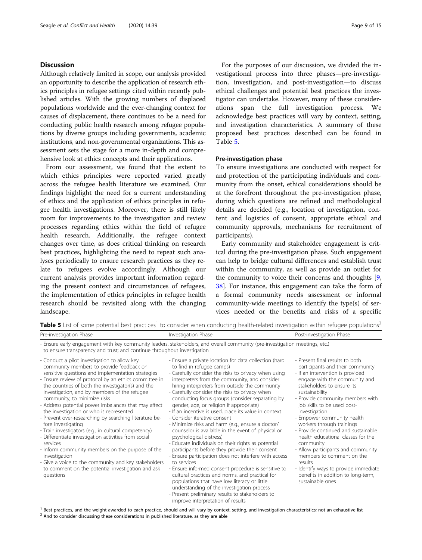# **Discussion**

Although relatively limited in scope, our analysis provided an opportunity to describe the application of research ethics principles in refugee settings cited within recently published articles. With the growing numbers of displaced populations worldwide and the ever-changing context for causes of displacement, there continues to be a need for conducting public health research among refugee populations by diverse groups including governments, academic institutions, and non-governmental organizations. This assessment sets the stage for a more in-depth and comprehensive look at ethics concepts and their applications.

From our assessment, we found that the extent to which ethics principles were reported varied greatly across the refugee health literature we examined. Our findings highlight the need for a current understanding of ethics and the application of ethics principles in refugee health investigations. Moreover, there is still likely room for improvements to the investigation and review processes regarding ethics within the field of refugee health research. Additionally, the refugee context changes over time, as does critical thinking on research best practices, highlighting the need to repeat such analyses periodically to ensure research practices as they relate to refugees evolve accordingly. Although our current analysis provides important information regarding the present context and circumstances of refugees, the implementation of ethics principles in refugee health research should be revisited along with the changing landscape.

For the purposes of our discussion, we divided the investigational process into three phases—pre-investigation, investigation, and post-investigation—to discuss ethical challenges and potential best practices the investigator can undertake. However, many of these considerations span the full investigation process. We acknowledge best practices will vary by context, setting, and investigation characteristics. A summary of these proposed best practices described can be found in Table 5.

#### Pre-investigation phase

To ensure investigations are conducted with respect for and protection of the participating individuals and community from the onset, ethical considerations should be at the forefront throughout the pre-investigation phase, during which questions are refined and methodological details are decided (e.g., location of investigation, content and logistics of consent, appropriate ethical and community approvals, mechanisms for recruitment of participants).

Early community and stakeholder engagement is critical during the pre-investigation phase. Such engagement can help to bridge cultural differences and establish trust within the community, as well as provide an outlet for the community to voice their concerns and thoughts [\[9](#page-13-0), [38\]](#page-14-0). For instance, this engagement can take the form of a formal community needs assessment or informal community-wide meetings to identify the type(s) of services needed or the benefits and risks of a specific

Table 5 List of some potential best practices<sup>1</sup> to consider when conducting health-related investigation within refugee populations<sup>2</sup>

| Pre-investigation Phase                                                                                                                                                                                                                                                                                                                                                                                                                                                                                                                                                                                                                                                                                                                                                                                                                   | Investigation Phase                                                                                                                                                                                                                                                                                                                                                                                                                                                                                                                                                                                                                                                                                                                                                                                                                                                                                                                                                                                                                                                                                            | Post-investigation Phase                                                                                                                                                                                                                                                                                                                                                                                                                                                                                                                                                                                          |  |
|-------------------------------------------------------------------------------------------------------------------------------------------------------------------------------------------------------------------------------------------------------------------------------------------------------------------------------------------------------------------------------------------------------------------------------------------------------------------------------------------------------------------------------------------------------------------------------------------------------------------------------------------------------------------------------------------------------------------------------------------------------------------------------------------------------------------------------------------|----------------------------------------------------------------------------------------------------------------------------------------------------------------------------------------------------------------------------------------------------------------------------------------------------------------------------------------------------------------------------------------------------------------------------------------------------------------------------------------------------------------------------------------------------------------------------------------------------------------------------------------------------------------------------------------------------------------------------------------------------------------------------------------------------------------------------------------------------------------------------------------------------------------------------------------------------------------------------------------------------------------------------------------------------------------------------------------------------------------|-------------------------------------------------------------------------------------------------------------------------------------------------------------------------------------------------------------------------------------------------------------------------------------------------------------------------------------------------------------------------------------------------------------------------------------------------------------------------------------------------------------------------------------------------------------------------------------------------------------------|--|
| Ensure early engagement with key community leaders, stakeholders, and overall community (pre-investigation meetings, etc.)<br>to ensure transparency and trust; and continue throughout investigation                                                                                                                                                                                                                                                                                                                                                                                                                                                                                                                                                                                                                                     |                                                                                                                                                                                                                                                                                                                                                                                                                                                                                                                                                                                                                                                                                                                                                                                                                                                                                                                                                                                                                                                                                                                |                                                                                                                                                                                                                                                                                                                                                                                                                                                                                                                                                                                                                   |  |
| Conduct a pilot investigation to allow key<br>community members to provide feedback on<br>sensitive questions and implementation strategies<br>Ensure review of protocol by an ethics committee in<br>the countries of both the investigator(s) and the<br>investigation, and by members of the refugee<br>community, to minimize risks<br>Address potential power imbalances that may affect<br>the investigation or who is represented<br>Prevent over-researching by searching literature be-<br>fore investigating<br>Train investigators (e.g., in cultural competency)<br>Differentiate investigation activities from social<br>services<br>Inform community members on the purpose of the<br>investigation<br>Give a voice to the community and key stakeholders<br>to comment on the potential investigation and ask<br>questions | - Ensure a private location for data collection (hard<br>to find in refugee camps)<br>- Carefully consider the risks to privacy when using<br>interpreters from the community, and consider<br>hiring interpreters from outside the community<br>- Carefully consider the risks to privacy when<br>conducting focus groups (consider separating by<br>gender, age, or religion if appropriate)<br>- If an incentive is used, place its value in context<br>- Consider iterative consent<br>- Minimize risks and harm (e.g., ensure a doctor/<br>counselor is available in the event of physical or<br>psychological distress)<br>- Educate individuals on their rights as potential<br>participants before they provide their consent<br>- Ensure participation does not interfere with access<br>to services<br>- Ensure informed consent procedure is sensitive to<br>cultural practices and norms, and practical for<br>populations that have low literacy or little<br>understanding of the investigation process<br>- Present preliminary results to stakeholders to<br>improve interpretation of results | - Present final results to both<br>participants and their community<br>- If an intervention is provided<br>engage with the community and<br>stakeholders to ensure its<br>sustainability<br>- Provide community members with<br>job skills to be used post-<br>investigation<br>- Empower community health<br>workers through trainings<br>- Provide continued and sustainable<br>health educational classes for the<br>community<br>- Allow participants and community<br>members to comment on the<br>results<br>- Identify ways to provide immediate<br>benefits in addition to long-term,<br>sustainable ones |  |

 $^1$  Best practices, and the weight awarded to each practice, should and will vary by context, setting, and investigation characteristics; not an exhaustive list  $^2$  And to consider discussing these considerations in pub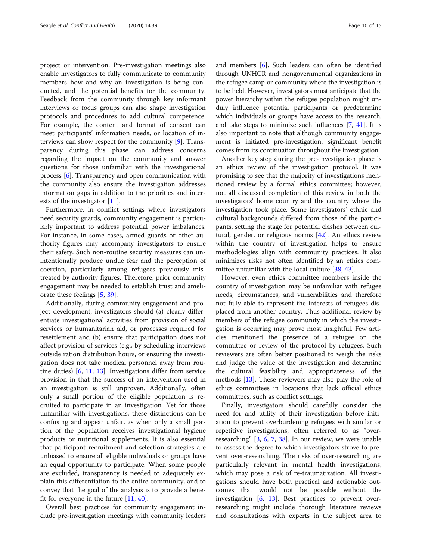project or intervention. Pre-investigation meetings also enable investigators to fully communicate to community members how and why an investigation is being conducted, and the potential benefits for the community. Feedback from the community through key informant interviews or focus groups can also shape investigation protocols and procedures to add cultural competence. For example, the content and format of consent can meet participants' information needs, or location of interviews can show respect for the community [[9\]](#page-13-0). Transparency during this phase can address concerns regarding the impact on the community and answer questions for those unfamiliar with the investigational process [\[6\]](#page-13-0). Transparency and open communication with the community also ensure the investigation addresses information gaps in addition to the priorities and interests of the investigator [\[11\]](#page-13-0).

Furthermore, in conflict settings where investigators need security guards, community engagement is particularly important to address potential power imbalances. For instance, in some cases, armed guards or other authority figures may accompany investigators to ensure their safety. Such non-routine security measures can unintentionally produce undue fear and the perception of coercion, particularly among refugees previously mistreated by authority figures. Therefore, prior community engagement may be needed to establish trust and ameliorate these feelings [\[5](#page-13-0), [39](#page-14-0)].

Additionally, during community engagement and project development, investigators should (a) clearly differentiate investigational activities from provision of social services or humanitarian aid, or processes required for resettlement and (b) ensure that participation does not affect provision of services (e.g., by scheduling interviews outside ration distribution hours, or ensuring the investigation does not take medical personnel away from routine duties) [\[6,](#page-13-0) [11](#page-13-0), [13\]](#page-13-0). Investigations differ from service provision in that the success of an intervention used in an investigation is still unproven. Additionally, often only a small portion of the eligible population is recruited to participate in an investigation. Yet for those unfamiliar with investigations, these distinctions can be confusing and appear unfair, as when only a small portion of the population receives investigational hygiene products or nutritional supplements. It is also essential that participant recruitment and selection strategies are unbiased to ensure all eligible individuals or groups have an equal opportunity to participate. When some people are excluded, transparency is needed to adequately explain this differentiation to the entire community, and to convey that the goal of the analysis is to provide a benefit for everyone in the future [[11](#page-13-0), [40](#page-14-0)].

Overall best practices for community engagement include pre-investigation meetings with community leaders and members [[6\]](#page-13-0). Such leaders can often be identified through UNHCR and nongovernmental organizations in the refugee camp or community where the investigation is to be held. However, investigators must anticipate that the power hierarchy within the refugee population might unduly influence potential participants or predetermine which individuals or groups have access to the research, and take steps to minimize such influences [\[7,](#page-13-0) [41\]](#page-14-0). It is also important to note that although community engagement is initiated pre-investigation, significant benefit comes from its continuation throughout the investigation.

Another key step during the pre-investigation phase is an ethics review of the investigation protocol. It was promising to see that the majority of investigations mentioned review by a formal ethics committee; however, not all discussed completion of this review in both the investigators' home country and the country where the investigation took place. Some investigators' ethnic and cultural backgrounds differed from those of the participants, setting the stage for potential clashes between cultural, gender, or religious norms [[42\]](#page-14-0). An ethics review within the country of investigation helps to ensure methodologies align with community practices. It also minimizes risks not often identified by an ethics committee unfamiliar with the local culture [[38,](#page-14-0) [43\]](#page-14-0).

However, even ethics committee members inside the country of investigation may be unfamiliar with refugee needs, circumstances, and vulnerabilities and therefore not fully able to represent the interests of refugees displaced from another country. Thus additional review by members of the refugee community in which the investigation is occurring may prove most insightful. Few articles mentioned the presence of a refugee on the committee or review of the protocol by refugees. Such reviewers are often better positioned to weigh the risks and judge the value of the investigation and determine the cultural feasibility and appropriateness of the methods [[13](#page-13-0)]. These reviewers may also play the role of ethics committees in locations that lack official ethics committees, such as conflict settings.

Finally, investigators should carefully consider the need for and utility of their investigation before initiation to prevent overburdening refugees with similar or repetitive investigations, often referred to as "overresearching" [[3,](#page-13-0) [6](#page-13-0), [7,](#page-13-0) [38](#page-14-0)]. In our review, we were unable to assess the degree to which investigators strove to prevent over-researching. The risks of over-researching are particularly relevant in mental health investigations, which may pose a risk of re-traumatization. All investigations should have both practical and actionable outcomes that would not be possible without the investigation [[6,](#page-13-0) [13\]](#page-13-0). Best practices to prevent overresearching might include thorough literature reviews and consultations with experts in the subject area to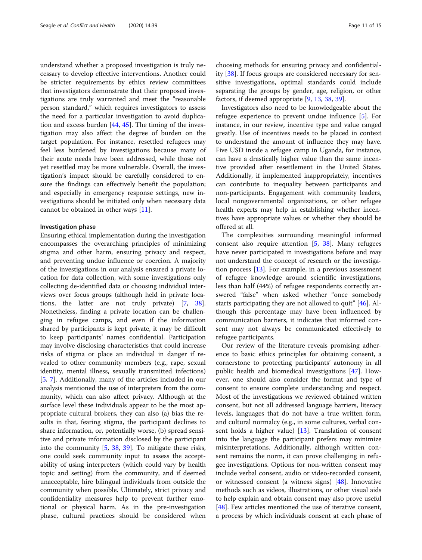understand whether a proposed investigation is truly necessary to develop effective interventions. Another could be stricter requirements by ethics review committees that investigators demonstrate that their proposed investigations are truly warranted and meet the "reasonable person standard," which requires investigators to assess the need for a particular investigation to avoid duplication and excess burden  $[44, 45]$  $[44, 45]$  $[44, 45]$  $[44, 45]$  $[44, 45]$ . The timing of the investigation may also affect the degree of burden on the target population. For instance, resettled refugees may feel less burdened by investigations because many of their acute needs have been addressed, while those not yet resettled may be more vulnerable. Overall, the investigation's impact should be carefully considered to ensure the findings can effectively benefit the population; and especially in emergency response settings, new investigations should be initiated only when necessary data cannot be obtained in other ways [\[11](#page-13-0)].

### Investigation phase

Ensuring ethical implementation during the investigation encompasses the overarching principles of minimizing stigma and other harm, ensuring privacy and respect, and preventing undue influence or coercion. A majority of the investigations in our analysis ensured a private location for data collection, with some investigations only collecting de-identified data or choosing individual interviews over focus groups (although held in private locations, the latter are not truly private) [[7,](#page-13-0) [38](#page-14-0)]. Nonetheless, finding a private location can be challenging in refugee camps, and even if the information shared by participants is kept private, it may be difficult to keep participants' names confidential. Participation may involve disclosing characteristics that could increase risks of stigma or place an individual in danger if revealed to other community members (e.g., rape, sexual identity, mental illness, sexually transmitted infections) [[5,](#page-13-0) [7](#page-13-0)]. Additionally, many of the articles included in our analysis mentioned the use of interpreters from the community, which can also affect privacy. Although at the surface level these individuals appear to be the most appropriate cultural brokers, they can also (a) bias the results in that, fearing stigma, the participant declines to share information, or, potentially worse, (b) spread sensitive and private information disclosed by the participant into the community [\[5,](#page-13-0) [38,](#page-14-0) [39](#page-14-0)]. To mitigate these risks, one could seek community input to assess the acceptability of using interpreters (which could vary by health topic and setting) from the community, and if deemed unacceptable, hire bilingual individuals from outside the community when possible. Ultimately, strict privacy and confidentiality measures help to prevent further emotional or physical harm. As in the pre-investigation phase, cultural practices should be considered when

choosing methods for ensuring privacy and confidentiality [[38\]](#page-14-0). If focus groups are considered necessary for sensitive investigations, optimal standards could include separating the groups by gender, age, religion, or other factors, if deemed appropriate [\[9](#page-13-0), [13](#page-13-0), [38](#page-14-0), [39](#page-14-0)].

Investigators also need to be knowledgeable about the refugee experience to prevent undue influence [[5\]](#page-13-0). For instance, in our review, incentive type and value ranged greatly. Use of incentives needs to be placed in context to understand the amount of influence they may have. Five USD inside a refugee camp in Uganda, for instance, can have a drastically higher value than the same incentive provided after resettlement in the United States. Additionally, if implemented inappropriately, incentives can contribute to inequality between participants and non-participants. Engagement with community leaders, local nongovernmental organizations, or other refugee health experts may help in establishing whether incentives have appropriate values or whether they should be offered at all.

The complexities surrounding meaningful informed consent also require attention [\[5](#page-13-0), [38\]](#page-14-0). Many refugees have never participated in investigations before and may not understand the concept of research or the investigation process [\[13](#page-13-0)]. For example, in a previous assessment of refugee knowledge around scientific investigations, less than half (44%) of refugee respondents correctly answered "false" when asked whether "once somebody starts participating they are not allowed to quit" [\[46](#page-14-0)]. Although this percentage may have been influenced by communication barriers, it indicates that informed consent may not always be communicated effectively to refugee participants.

Our review of the literature reveals promising adherence to basic ethics principles for obtaining consent, a cornerstone to protecting participants' autonomy in all public health and biomedical investigations [[47\]](#page-14-0). However, one should also consider the format and type of consent to ensure complete understanding and respect. Most of the investigations we reviewed obtained written consent, but not all addressed language barriers, literacy levels, languages that do not have a true written form, and cultural normalcy (e.g., in some cultures, verbal consent holds a higher value) [\[13](#page-13-0)]. Translation of consent into the language the participant prefers may minimize misinterpretations. Additionally, although written consent remains the norm, it can prove challenging in refugee investigations. Options for non-written consent may include verbal consent, audio or video-recorded consent, or witnessed consent (a witness signs) [\[48\]](#page-14-0). Innovative methods such as videos, illustrations, or other visual aids to help explain and obtain consent may also prove useful [[48\]](#page-14-0). Few articles mentioned the use of iterative consent, a process by which individuals consent at each phase of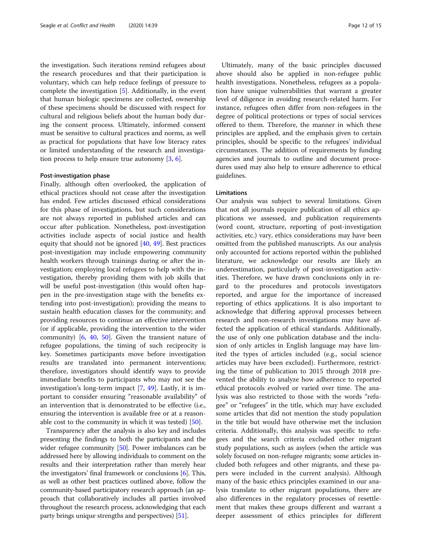the investigation. Such iterations remind refugees about the research procedures and that their participation is voluntary, which can help reduce feelings of pressure to complete the investigation [[5\]](#page-13-0). Additionally, in the event that human biologic specimens are collected, ownership of these specimens should be discussed with respect for cultural and religious beliefs about the human body during the consent process. Ultimately, informed consent must be sensitive to cultural practices and norms, as well as practical for populations that have low literacy rates or limited understanding of the research and investigation process to help ensure true autonomy  $[3, 6]$  $[3, 6]$  $[3, 6]$  $[3, 6]$ .

#### Post-investigation phase

Finally, although often overlooked, the application of ethical practices should not cease after the investigation has ended. Few articles discussed ethical considerations for this phase of investigations, but such considerations are not always reported in published articles and can occur after publication. Nonetheless, post-investigation activities include aspects of social justice and health equity that should not be ignored [\[40,](#page-14-0) [49\]](#page-14-0). Best practices post-investigation may include empowering community health workers through trainings during or after the investigation; employing local refugees to help with the investigation, thereby providing them with job skills that will be useful post-investigation (this would often happen in the pre-investigation stage with the benefits extending into post-investigation); providing the means to sustain health education classes for the community; and providing resources to continue an effective intervention (or if applicable, providing the intervention to the wider community)  $[6, 40, 50]$  $[6, 40, 50]$  $[6, 40, 50]$  $[6, 40, 50]$  $[6, 40, 50]$  $[6, 40, 50]$  $[6, 40, 50]$ . Given the transient nature of refugee populations, the timing of such reciprocity is key. Sometimes participants move before investigation results are translated into permanent interventions; therefore, investigators should identify ways to provide immediate benefits to participants who may not see the investigation's long-term impact [\[7](#page-13-0), [49\]](#page-14-0). Lastly, it is important to consider ensuring "reasonable availability" of an intervention that is demonstrated to be effective (i.e., ensuring the intervention is available free or at a reasonable cost to the community in which it was tested) [[50](#page-14-0)].

Transparency after the analysis is also key and includes presenting the findings to both the participants and the wider refugee community [\[50\]](#page-14-0). Power imbalances can be addressed here by allowing individuals to comment on the results and their interpretation rather than merely hear the investigators' final framework or conclusions [[6\]](#page-13-0). This, as well as other best practices outlined above, follow the community-based participatory research approach (an approach that collaboratively includes all parties involved throughout the research process, acknowledging that each party brings unique strengths and perspectives) [\[51\]](#page-14-0).

Ultimately, many of the basic principles discussed above should also be applied in non-refugee public health investigations. Nonetheless, refugees as a population have unique vulnerabilities that warrant a greater level of diligence in avoiding research-related harm. For instance, refugees often differ from non-refugees in the degree of political protections or types of social services offered to them. Therefore, the manner in which these principles are applied, and the emphasis given to certain principles, should be specific to the refugees' individual circumstances. The addition of requirements by funding agencies and journals to outline and document procedures used may also help to ensure adherence to ethical guidelines.

#### Limitations

Our analysis was subject to several limitations. Given that not all journals require publication of all ethics applications we assessed, and publication requirements (word count, structure, reporting of post-investigation activities, etc.) vary, ethics considerations may have been omitted from the published manuscripts. As our analysis only accounted for actions reported within the published literature, we acknowledge our results are likely an underestimation, particularly of post-investigation activities. Therefore, we have drawn conclusions only in regard to the procedures and protocols investigators reported, and argue for the importance of increased reporting of ethics applications. It is also important to acknowledge that differing approval processes between research and non-research investigations may have affected the application of ethical standards. Additionally, the use of only one publication database and the inclusion of only articles in English language may have limited the types of articles included (e.g., social science articles may have been excluded). Furthermore, restricting the time of publication to 2015 through 2018 prevented the ability to analyze how adherence to reported ethical protocols evolved or varied over time. The analysis was also restricted to those with the words "refugee" or "refugees" in the title, which may have excluded some articles that did not mention the study population in the title but would have otherwise met the inclusion criteria. Additionally, this analysis was specific to refugees and the search criteria excluded other migrant study populations, such as asylees (when the article was solely focused on non-refugee migrants; some articles included both refugees and other migrants, and these papers were included in the current analysis). Although many of the basic ethics principles examined in our analysis translate to other migrant populations, there are also differences in the regulatory processes of resettlement that makes these groups different and warrant a deeper assessment of ethics principles for different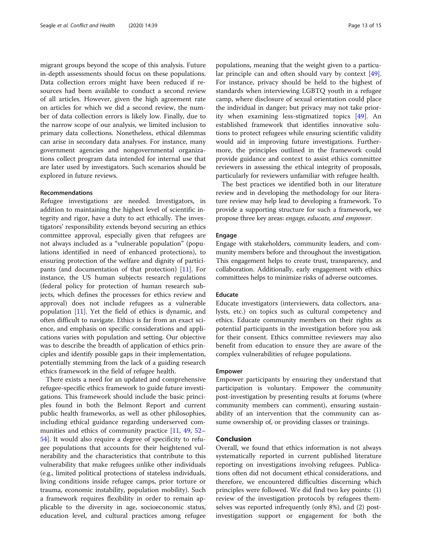migrant groups beyond the scope of this analysis. Future in-depth assessments should focus on these populations. Data collection errors might have been reduced if resources had been available to conduct a second review of all articles. However, given the high agreement rate on articles for which we did a second review, the number of data collection errors is likely low. Finally, due to the narrow scope of our analysis, we limited inclusion to primary data collections. Nonetheless, ethical dilemmas can arise in secondary data analyses. For instance, many government agencies and nongovernmental organizations collect program data intended for internal use that are later used by investigators. Such scenarios should be explored in future reviews.

#### Recommendations

Refugee investigations are needed. Investigators, in addition to maintaining the highest level of scientific integrity and rigor, have a duty to act ethically. The investigators' responsibility extends beyond securing an ethics committee approval, especially given that refugees are not always included as a "vulnerable population" (populations identified in need of enhanced protections), to ensuring protection of the welfare and dignity of participants (and documentation of that protection) [\[11](#page-13-0)]. For instance, the US human subjects research regulations (federal policy for protection of human research subjects, which defines the processes for ethics review and approval) does not include refugees as a vulnerable population [\[11\]](#page-13-0). Yet the field of ethics is dynamic, and often difficult to navigate. Ethics is far from an exact science, and emphasis on specific considerations and applications varies with population and setting. Our objective was to describe the breadth of application of ethics principles and identify possible gaps in their implementation, potentially stemming from the lack of a guiding research ethics framework in the field of refugee health.

There exists a need for an updated and comprehensive refugee-specific ethics framework to guide future investigations. This framework should include the basic principles found in both the Belmont Report and current public health frameworks, as well as other philosophies, including ethical guidance regarding underserved com-munities and ethics of community practice [\[11](#page-13-0), [49,](#page-14-0) [52](#page-14-0)– [54\]](#page-14-0). It would also require a degree of specificity to refugee populations that accounts for their heightened vulnerability and the characteristics that contribute to this vulnerability that make refugees unlike other individuals (e.g., limited political protections of stateless individuals, living conditions inside refugee camps, prior torture or trauma, economic instability, population mobility). Such a framework requires flexibility in order to remain applicable to the diversity in age, socioeconomic status, education level, and cultural practices among refugee

populations, meaning that the weight given to a particular principle can and often should vary by context [\[49](#page-14-0)]. For instance, privacy should be held to the highest of standards when interviewing LGBTQ youth in a refugee camp, where disclosure of sexual orientation could place the individual in danger; but privacy may not take priority when examining less-stigmatized topics [\[49](#page-14-0)]. An established framework that identifies innovative solutions to protect refugees while ensuring scientific validity would aid in improving future investigations. Furthermore, the principles outlined in the framework could provide guidance and context to assist ethics committee reviewers in assessing the ethical integrity of proposals, particularly for reviewers unfamiliar with refugee health.

The best practices we identified both in our literature review and in developing the methodology for our literature review may help lead to developing a framework. To provide a supporting structure for such a framework, we propose three key areas: engage, educate, and empower.

### Engage

Engage with stakeholders, community leaders, and community members before and throughout the investigation. This engagement helps to create trust, transparency, and collaboration. Additionally, early engagement with ethics committees helps to minimize risks of adverse outcomes.

# Educate

Educate investigators (interviewers, data collectors, analysts, etc.) on topics such as cultural competency and ethics. Educate community members on their rights as potential participants in the investigation before you ask for their consent. Ethics committee reviewers may also benefit from education to ensure they are aware of the complex vulnerabilities of refugee populations.

#### Empower

Empower participants by ensuring they understand that participation is voluntary. Empower the community post-investigation by presenting results at forums (where community members can comment), ensuring sustainability of an intervention that the community can assume ownership of, or providing classes or trainings.

# Conclusion

Overall, we found that ethics information is not always systematically reported in current published literature reporting on investigations involving refugees. Publications often did not document ethical considerations, and therefore, we encountered difficulties discerning which principles were followed. We did find two key points: (1) review of the investigation protocols by refugees themselves was reported infrequently (only 8%), and (2) postinvestigation support or engagement for both the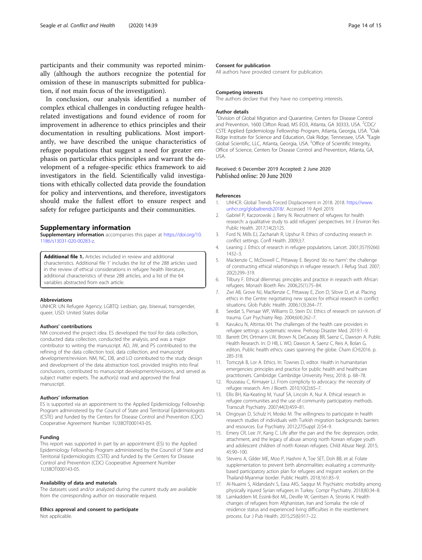<span id="page-13-0"></span>participants and their community was reported minimally (although the authors recognize the potential for omission of these in manuscripts submitted for publication, if not main focus of the investigation).

In conclusion, our analysis identified a number of complex ethical challenges in conducting refugee healthrelated investigations and found evidence of room for improvement in adherence to ethics principles and their documentation in resulting publications. Most importantly, we have described the unique characteristics of refugee populations that suggest a need for greater emphasis on particular ethics principles and warrant the development of a refugee-specific ethics framework to aid investigators in the field. Scientifically valid investigations with ethically collected data provide the foundation for policy and interventions, and therefore, investigators should make the fullest effort to ensure respect and safety for refugee participants and their communities.

# Supplementary information

Supplementary information accompanies this paper at [https://doi.org/10.](https://doi.org/10.1186/s13031-020-00283-z) [1186/s13031-020-00283-z.](https://doi.org/10.1186/s13031-020-00283-z)

Additional file 1. Articles included in review and additional characteristics. Additional file 1' includes the list of the 288 articles used in the review of ethical considerations in refugee health literature, additional characteristics of these 288 articles, and a list of the 64 variables abstracted from each article.

#### Abbreviations

UNHCR: UN Refugee Agency; LGBTQ: Lesbian, gay, bisexual, transgender, queer; USD: United States dollar

#### Authors' contributions

NM conceived the project idea. ES developed the tool for data collection, conducted data collection, conducted the analysis, and was a major contributor to writing the manuscript. AD, JW, and PS contributed to the refining of the data collection tool, data collection, and manuscript development/revision. NM, NC, DB, and LO contributed to the study design and development of the data abstraction tool, provided insights into final conclusions, contributed to manuscript development/revisions, and served as subject matter experts. The author(s) read and approved the final manuscript.

#### Authors' information

ES is supported via an appointment to the Applied Epidemiology Fellowship Program administered by the Council of State and Territorial Epidemiologists (CSTE) and funded by the Centers for Disease Control and Prevention (CDC) Cooperative Agreement Number 1U38OT000143-05.

#### Funding

This report was supported in part by an appointment (ES) to the Applied Epidemiology Fellowship Program administered by the Council of State and Territorial Epidemiologists (CSTE) and funded by the Centers for Disease Control and Prevention (CDC) Cooperative Agreement Number 1U38OT000143-05.

#### Availability of data and materials

The datasets used and/or analyzed during the current study are available from the corresponding author on reasonable request.

#### Ethics approval and consent to participate

Not applicable.

#### Consent for publication

All authors have provided consent for publication.

#### Competing interests

The authors declare that they have no competing interests.

#### Author details

<sup>1</sup> Division of Global Migration and Quarantine, Centers for Disease Control and Prevention, 1600 Clifton Road, MS EO3, Atlanta, GA 30333, USA. <sup>2</sup>CDC/ CSTE Applied Epidemiology Fellowship Program, Atlanta, Georgia, USA. <sup>3</sup>Oak Ridge Institute for Science and Education, Oak Ridge, Tennessee, USA. <sup>4</sup> Eagle Global Scientific, LLC, Atlanta, Georgia, USA. <sup>5</sup>Office of Scientific Integrity Office of Science, Centers for Disease Control and Prevention, Atlanta, GA, USA.

#### Received: 6 December 2019 Accepted: 2 June 2020 Published online: 20 June 2020

#### References

- 1. UNHCR. Global Trends Forced Displacement in 2018. 2018. [https://www.](https://www.unhcr.org/globaltrends2018/) [unhcr.org/globaltrends2018/](https://www.unhcr.org/globaltrends2018/). Accessed 19 April 2019.
- 2. Gabriel P, Kaczorowski J, Berry N. Recruitment of refugees for health research: a qualitative study to add refugees' perspectives. Int J Environ Res Public Health. 2017;14(2):125.
- 3. Ford N, Mills EJ, Zachariah R, Upshur R. Ethics of conducting research in conflict settings. Confl Health. 2009;3:7.
- 4. Leaning J. Ethics of research in refugee populations. Lancet. 2001;357(9266): 1432–3.
- 5. Mackenzie C, McDowell C, Pittaway E. Beyond 'do no harm': the challenge of constructing ethical relationships in refugee research. J Refug Stud. 2007; 20(2):299–319.
- 6. Tilbury F. Ethical dilemmas: principles and practice in research with African refugees. Monash Bioeth Rev. 2006;25(1):75–84.
- 7. Zwi AB, Grove NJ, MacKenzie C, Pittaway E, Zion D, Silove D, et al. Placing ethics in the Centre: negotiating new spaces for ethical research in conflict situations. Glob Public Health. 2006;1(3):264–77.
- 8. Seedat S, Pienaar WP, Williams D, Stein DJ. Ethics of research on survivors of trauma. Curr Psychiatry Rep. 2004;6(4):262–7.
- 9. Kavukcu N, Altintas KH. The challenges of the health care providers in refugee settings: a systematic review. Prehosp Disaster Med. 2019:1–9.
- 10. Barrett DH, Ortmann LW, Brown N, DeCausey BR, Saenz C, Dawson A. Public Health Research. In: D HB, L WO, Dawson A, Saenz C, Reis A, Bolan G, editors. Public health ethics: cases spanning the globe. Cham (CH)2016. p. 285-318.
- 11. Tomczyk B, Lor A. Ethics. In: Townes D, editor. Health in humanitarian emergencies: principles and practice for public health and healthcare practitioners. Cambridge: Cambridge University Press; 2018. p. 68–78.
- 12. Rousseau C, Kirmayer LJ. From complicity to advocacy: the necessity of refugee research. Am J Bioeth. 2010;10(2):65–7.
- 13. Ellis BH, Kia-Keating M, Yusuf SA, Lincoln A, Nur A. Ethical research in refugee communities and the use of community participatory methods. Transcult Psychiatry. 2007;44(3):459–81.
- 14. Dingoyan D, Schulz H, Mosko M. The willingness to participate in health research studies of individuals with Turkish migration backgrounds: barriers and resources. Eur Psychiatry. 2012;27(Suppl 2):S4–9.
- 15. Emery CR, Lee JY, Kang C. Life after the pan and the fire: depression, order, attachment, and the legacy of abuse among north Korean refugee youth and adolescent children of north Korean refugees. Child Abuse Negl. 2015; 45:90–100.
- 16. Stevens A, Gilder ME, Moo P, Hashmi A, Toe SET, Doh BB, et al. Folate supplementation to prevent birth abnormalities: evaluating a communitybased participatory action plan for refugees and migrant workers on the Thailand-Myanmar border. Public Health. 2018;161:83–9.
- 17. Al-Nuaimi S, Aldandashi S, Easa AKS, Saqqur M. Psychiatric morbidity among physically injured Syrian refugees in Turkey. Compr Psychiatry. 2018;80:34–8.
- 18. Lamkaddem M, Essink-Bot ML, Deville W, Gerritsen A, Stronks K. Health changes of refugees from Afghanistan, Iran and Somalia: the role of residence status and experienced living difficulties in the resettlement process. Eur J Pub Health. 2015;25(6):917–22.